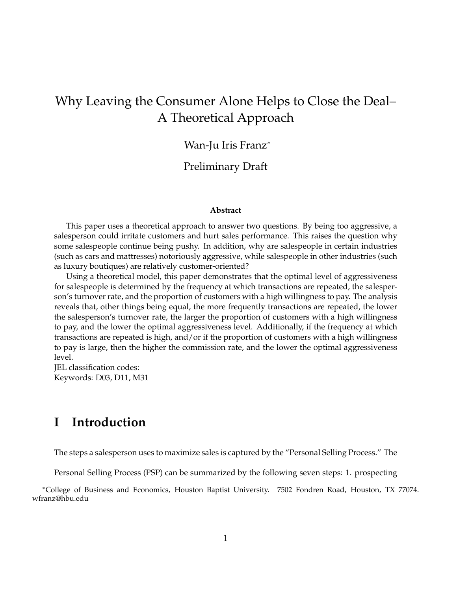# Why Leaving the Consumer Alone Helps to Close the Deal– A Theoretical Approach

## Wan-Ju Iris Franz<sup>∗</sup>

#### Preliminary Draft

#### **Abstract**

This paper uses a theoretical approach to answer two questions. By being too aggressive, a salesperson could irritate customers and hurt sales performance. This raises the question why some salespeople continue being pushy. In addition, why are salespeople in certain industries (such as cars and mattresses) notoriously aggressive, while salespeople in other industries (such as luxury boutiques) are relatively customer-oriented?

Using a theoretical model, this paper demonstrates that the optimal level of aggressiveness for salespeople is determined by the frequency at which transactions are repeated, the salesperson's turnover rate, and the proportion of customers with a high willingness to pay. The analysis reveals that, other things being equal, the more frequently transactions are repeated, the lower the salesperson's turnover rate, the larger the proportion of customers with a high willingness to pay, and the lower the optimal aggressiveness level. Additionally, if the frequency at which transactions are repeated is high, and/or if the proportion of customers with a high willingness to pay is large, then the higher the commission rate, and the lower the optimal aggressiveness level.

JEL classification codes: Keywords: D03, D11, M31

## **I Introduction**

The steps a salesperson uses to maximize sales is captured by the "Personal Selling Process." The

Personal Selling Process (PSP) can be summarized by the following seven steps: 1. prospecting

<sup>∗</sup>College of Business and Economics, Houston Baptist University. 7502 Fondren Road, Houston, TX 77074. wfranz@hbu.edu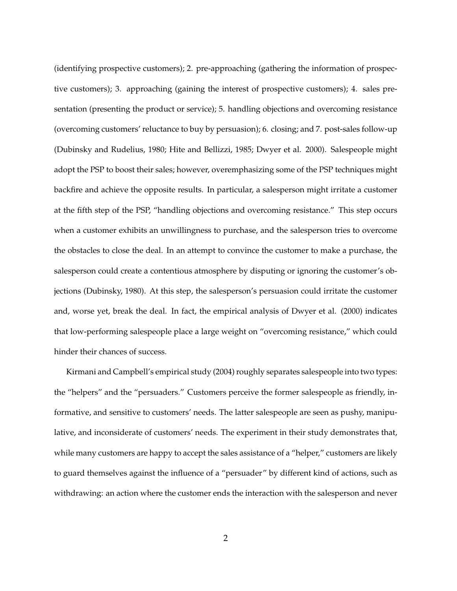(identifying prospective customers); 2. pre-approaching (gathering the information of prospective customers); 3. approaching (gaining the interest of prospective customers); 4. sales presentation (presenting the product or service); 5. handling objections and overcoming resistance (overcoming customers' reluctance to buy by persuasion); 6. closing; and 7. post-sales follow-up (Dubinsky and Rudelius, 1980; Hite and Bellizzi, 1985; Dwyer et al. 2000). Salespeople might adopt the PSP to boost their sales; however, overemphasizing some of the PSP techniques might backfire and achieve the opposite results. In particular, a salesperson might irritate a customer at the fifth step of the PSP, "handling objections and overcoming resistance." This step occurs when a customer exhibits an unwillingness to purchase, and the salesperson tries to overcome the obstacles to close the deal. In an attempt to convince the customer to make a purchase, the salesperson could create a contentious atmosphere by disputing or ignoring the customer's objections (Dubinsky, 1980). At this step, the salesperson's persuasion could irritate the customer and, worse yet, break the deal. In fact, the empirical analysis of Dwyer et al. (2000) indicates that low-performing salespeople place a large weight on "overcoming resistance," which could hinder their chances of success.

Kirmani and Campbell's empirical study (2004) roughly separates salespeople into two types: the "helpers" and the "persuaders." Customers perceive the former salespeople as friendly, informative, and sensitive to customers' needs. The latter salespeople are seen as pushy, manipulative, and inconsiderate of customers' needs. The experiment in their study demonstrates that, while many customers are happy to accept the sales assistance of a "helper," customers are likely to guard themselves against the influence of a "persuader" by different kind of actions, such as withdrawing: an action where the customer ends the interaction with the salesperson and never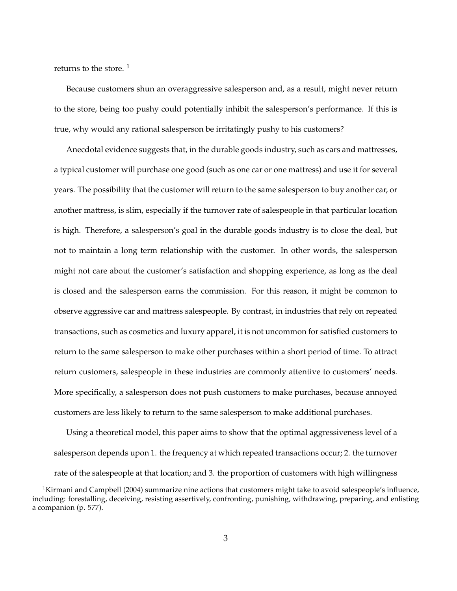returns to the store.  $1$ 

Because customers shun an overaggressive salesperson and, as a result, might never return to the store, being too pushy could potentially inhibit the salesperson's performance. If this is true, why would any rational salesperson be irritatingly pushy to his customers?

Anecdotal evidence suggests that, in the durable goods industry, such as cars and mattresses, a typical customer will purchase one good (such as one car or one mattress) and use it for several years. The possibility that the customer will return to the same salesperson to buy another car, or another mattress, is slim, especially if the turnover rate of salespeople in that particular location is high. Therefore, a salesperson's goal in the durable goods industry is to close the deal, but not to maintain a long term relationship with the customer. In other words, the salesperson might not care about the customer's satisfaction and shopping experience, as long as the deal is closed and the salesperson earns the commission. For this reason, it might be common to observe aggressive car and mattress salespeople. By contrast, in industries that rely on repeated transactions, such as cosmetics and luxury apparel, it is not uncommon for satisfied customers to return to the same salesperson to make other purchases within a short period of time. To attract return customers, salespeople in these industries are commonly attentive to customers' needs. More specifically, a salesperson does not push customers to make purchases, because annoyed customers are less likely to return to the same salesperson to make additional purchases.

Using a theoretical model, this paper aims to show that the optimal aggressiveness level of a salesperson depends upon 1. the frequency at which repeated transactions occur; 2. the turnover rate of the salespeople at that location; and 3. the proportion of customers with high willingness

<sup>&</sup>lt;sup>1</sup>Kirmani and Campbell (2004) summarize nine actions that customers might take to avoid salespeople's influence, including: forestalling, deceiving, resisting assertively, confronting, punishing, withdrawing, preparing, and enlisting a companion (p. 577).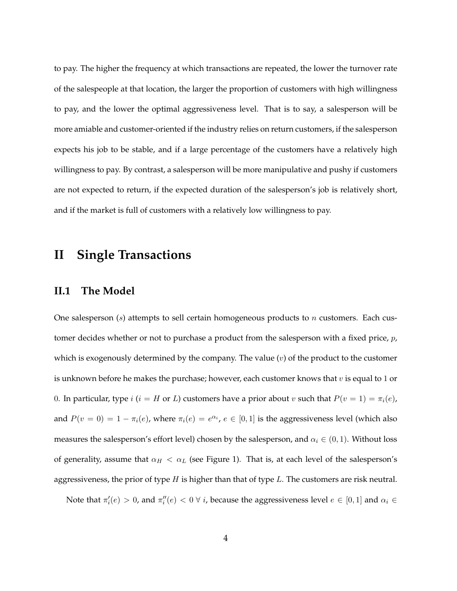to pay. The higher the frequency at which transactions are repeated, the lower the turnover rate of the salespeople at that location, the larger the proportion of customers with high willingness to pay, and the lower the optimal aggressiveness level. That is to say, a salesperson will be more amiable and customer-oriented if the industry relies on return customers, if the salesperson expects his job to be stable, and if a large percentage of the customers have a relatively high willingness to pay. By contrast, a salesperson will be more manipulative and pushy if customers are not expected to return, if the expected duration of the salesperson's job is relatively short, and if the market is full of customers with a relatively low willingness to pay.

## **II Single Transactions**

#### **II.1 The Model**

One salesperson (s) attempts to sell certain homogeneous products to n customers. Each customer decides whether or not to purchase a product from the salesperson with a fixed price,  $p$ , which is exogenously determined by the company. The value  $(v)$  of the product to the customer is unknown before he makes the purchase; however, each customer knows that  $v$  is equal to 1 or 0. In particular, type  $i$  ( $i = H$  or  $L$ ) customers have a prior about  $v$  such that  $P(v = 1) = \pi_i(e)$ , and  $P(v = 0) = 1 - \pi_i(e)$ , where  $\pi_i(e) = e^{\alpha_i}$ ,  $e \in [0, 1]$  is the aggressiveness level (which also measures the salesperson's effort level) chosen by the salesperson, and  $\alpha_i \in (0, 1)$ . Without loss of generality, assume that  $\alpha_H < \alpha_L$  (see Figure 1). That is, at each level of the salesperson's aggressiveness, the prior of type  $H$  is higher than that of type  $L$ . The customers are risk neutral.

Note that  $\pi'_i(e) > 0$ , and  $\pi''_i(e) < 0 \ \forall i$ , because the aggressiveness level  $e \in [0,1]$  and  $\alpha_i \in$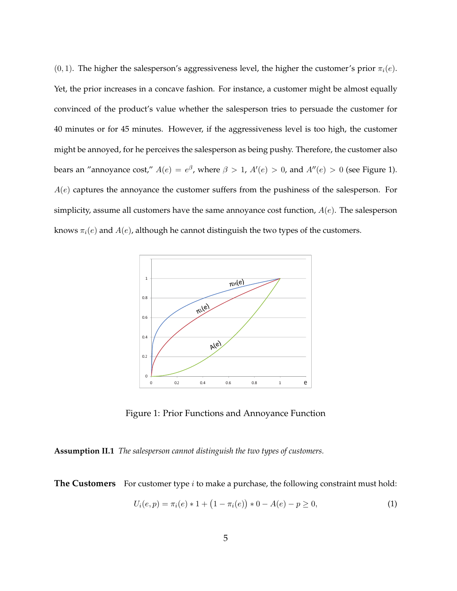$(0, 1)$ . The higher the salesperson's aggressiveness level, the higher the customer's prior  $\pi_i(e)$ . Yet, the prior increases in a concave fashion. For instance, a customer might be almost equally convinced of the product's value whether the salesperson tries to persuade the customer for 40 minutes or for 45 minutes. However, if the aggressiveness level is too high, the customer might be annoyed, for he perceives the salesperson as being pushy. Therefore, the customer also bears an "annoyance cost,"  $A(e) = e^{\beta}$ , where  $\beta > 1$ ,  $A'(e) > 0$ , and  $A''(e) > 0$  (see Figure 1).  $A(e)$  captures the annoyance the customer suffers from the pushiness of the salesperson. For simplicity, assume all customers have the same annoyance cost function,  $A(e)$ . The salesperson knows  $\pi_i(e)$  and  $A(e)$ , although he cannot distinguish the two types of the customers.



Figure 1: Prior Functions and Annoyance Function

**Assumption II.1** *The salesperson cannot distinguish the two types of customers.*

**The Customers** For customer type *i* to make a purchase, the following constraint must hold:

$$
U_i(e, p) = \pi_i(e) * 1 + (1 - \pi_i(e)) * 0 - A(e) - p \ge 0,
$$
\n(1)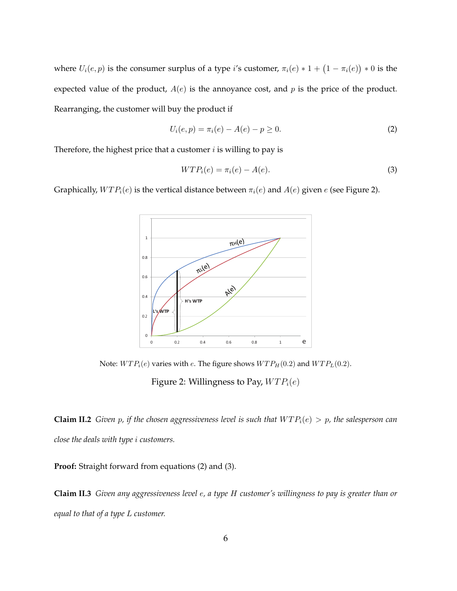where  $U_i(e, p)$  is the consumer surplus of a type i's customer,  $\pi_i(e) * 1 + (1 - \pi_i(e))$ ¢ ∗ 0 is the expected value of the product,  $A(e)$  is the annoyance cost, and p is the price of the product. Rearranging, the customer will buy the product if

$$
U_i(e, p) = \pi_i(e) - A(e) - p \ge 0.
$$
 (2)

Therefore, the highest price that a customer  $i$  is willing to pay is

$$
WTP_i(e) = \pi_i(e) - A(e). \tag{3}
$$

Graphically,  $WTP_i(e)$  is the vertical distance between  $\pi_i(e)$  and  $A(e)$  given e (see Figure 2).



Note:  $WTP_i(e)$  varies with e. The figure shows  $WTP_H(0.2)$  and  $WTP_L(0.2)$ .

Figure 2: Willingness to Pay,  $WTP_i(e)$ 

**Claim II.2** *Given p, if the chosen aggressiveness level is such that*  $WTP_i(e) > p$ *, the salesperson can close the deals with type* i *customers.*

**Proof:** Straight forward from equations (2) and (3).

**Claim II.3** *Given any aggressiveness level* e*, a type* H *customer's willingness to pay is greater than or equal to that of a type* L *customer.*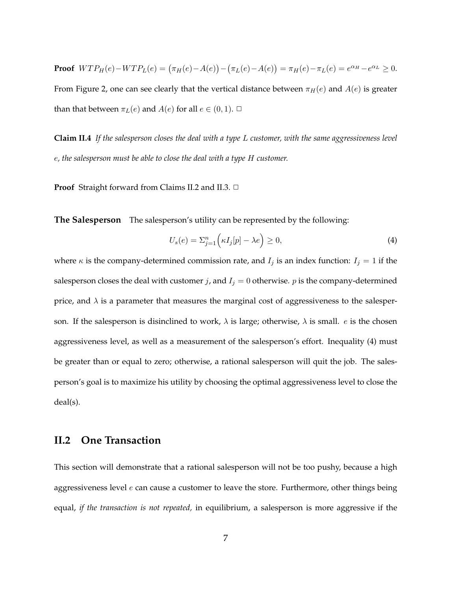**Proof**  $WTP_H(e)-WTP_L(e) = (\pi_H(e)-A(e))$ ¢ − ¡  $\pi_L(e)-A(e)$ ¢  $= \pi_H(e) - \pi_L(e) = e^{\alpha_H} - e^{\alpha_L} \ge 0.$ From Figure 2, one can see clearly that the vertical distance between  $\pi_H(e)$  and  $A(e)$  is greater than that between  $\pi_L(e)$  and  $A(e)$  for all  $e \in (0,1)$ .  $\Box$ 

**Claim II.4** *If the salesperson closes the deal with a type* L *customer, with the same aggressiveness level* e*, the salesperson must be able to close the deal with a type* H *customer.*

**Proof** Straight forward from Claims II.2 and II.3. □

**The Salesperson** The salesperson's utility can be represented by the following:

$$
U_s(e) = \sum_{j=1}^n \left( \kappa I_j[p] - \lambda e \right) \ge 0,
$$
\n(4)

where  $\kappa$  is the company-determined commission rate, and  $I_j$  is an index function:  $I_j = 1$  if the salesperson closes the deal with customer *j*, and  $I_j = 0$  otherwise. *p* is the company-determined price, and  $\lambda$  is a parameter that measures the marginal cost of aggressiveness to the salesperson. If the salesperson is disinclined to work,  $\lambda$  is large; otherwise,  $\lambda$  is small. *e* is the chosen aggressiveness level, as well as a measurement of the salesperson's effort. Inequality (4) must be greater than or equal to zero; otherwise, a rational salesperson will quit the job. The salesperson's goal is to maximize his utility by choosing the optimal aggressiveness level to close the deal(s).

#### **II.2 One Transaction**

This section will demonstrate that a rational salesperson will not be too pushy, because a high aggressiveness level  $e$  can cause a customer to leave the store. Furthermore, other things being equal, *if the transaction is not repeated,* in equilibrium, a salesperson is more aggressive if the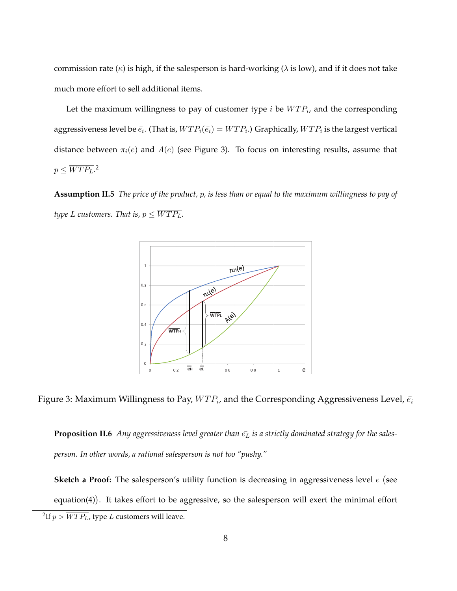commission rate ( $\kappa$ ) is high, if the salesperson is hard-working ( $\lambda$  is low), and if it does not take much more effort to sell additional items.

Let the maximum willingness to pay of customer type i be  $\overline{WTP_i}$ , and the corresponding aggressiveness level be  $\bar{e_i}$ . (That is,  $WTP_i(\bar{e_i})=\overline{WTP_i}$ .) Graphically,  $\overline{WTP_i}$  is the largest vertical distance between  $\pi_i(e)$  and  $A(e)$  (see Figure 3). To focus on interesting results, assume that  $p \leq \overline{WTP_L}.^2$ 

**Assumption II.5** *The price of the product,* p*, is less than or equal to the maximum willingness to pay of type L* customers. That is,  $p \leq \overline{WTP_L}$ .



Figure 3: Maximum Willingness to Pay,  $\overline{WTP_i}$ , and the Corresponding Aggressiveness Level,  $\bar{e_i}$ 

**Proposition II.6** Any aggressiveness level greater than  $\bar{e}_L$  is a strictly dominated strategy for the sales*person. In other words, a rational salesperson is not too "pushy."*

**Sketch a Proof:** The salesperson's utility function is decreasing in aggressiveness level e ¡ see equation(4)). It takes effort to be aggressive, so the salesperson will exert the minimal effort

<sup>&</sup>lt;sup>2</sup>If  $p > \overline{WTP_L}$ , type  $L$  customers will leave.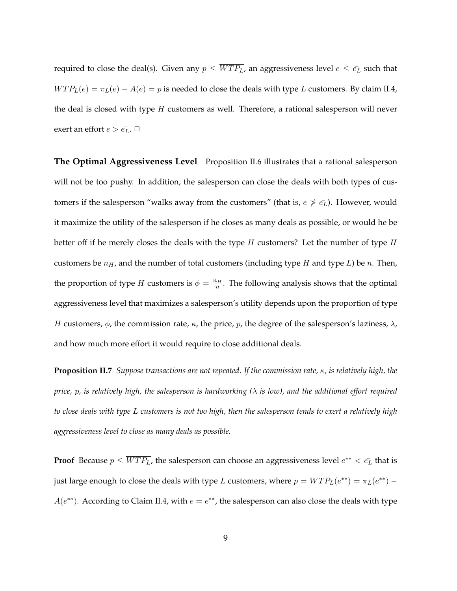required to close the deal(s). Given any  $p \leq \overline{WTP_L}$ , an aggressiveness level  $e \leq \overline{e_L}$  such that  $WTP<sub>L</sub>(e) = \pi<sub>L</sub>(e) - A(e) = p$  is needed to close the deals with type L customers. By claim II.4, the deal is closed with type  $H$  customers as well. Therefore, a rational salesperson will never exert an effort  $e > \bar{e}_L$ .  $\Box$ 

**The Optimal Aggressiveness Level** Proposition II.6 illustrates that a rational salesperson will not be too pushy. In addition, the salesperson can close the deals with both types of customers if the salesperson "walks away from the customers" (that is,  $e \nsucceq \overline{e_L}$ ). However, would it maximize the utility of the salesperson if he closes as many deals as possible, or would he be better off if he merely closes the deals with the type  $H$  customers? Let the number of type  $H$ customers be  $n_H$ , and the number of total customers (including type H and type L) be n. Then, the proportion of type H customers is  $\phi = \frac{n_H}{n}$ . The following analysis shows that the optimal aggressiveness level that maximizes a salesperson's utility depends upon the proportion of type H customers,  $\phi$ , the commission rate,  $\kappa$ , the price,  $p$ , the degree of the salesperson's laziness,  $\lambda$ , and how much more effort it would require to close additional deals.

**Proposition II.7** *Suppose transactions are not repeated. If the commission rate,* κ*, is relatively high, the price,* p*, is relatively high, the salesperson is hardworking (*λ *is low), and the additional effort required to close deals with type* L *customers is not too high, then the salesperson tends to exert a relatively high aggressiveness level to close as many deals as possible.*

**Proof** Because  $p \leq \overline{WTP_L}$ , the salesperson can choose an aggressiveness level  $e^{**} < \bar{e_L}$  that is just large enough to close the deals with type L customers, where  $p = WTP<sub>L</sub>(e^{**}) = \pi_L(e^{**}) A(e^{**})$ . According to Claim II.4, with  $e = e^{**}$ , the salesperson can also close the deals with type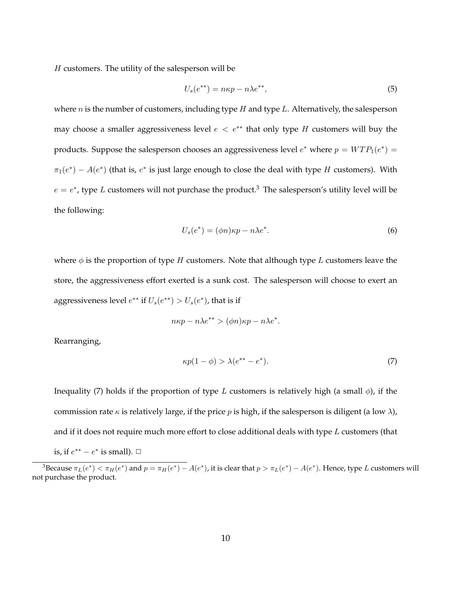$H$  customers. The utility of the salesperson will be

$$
U_s(e^{**}) = n\kappa p - n\lambda e^{**},\tag{5}
$$

where  $n$  is the number of customers, including type  $H$  and type  $L$ . Alternatively, the salesperson may choose a smaller aggressiveness level  $e < e^{**}$  that only type H customers will buy the products. Suppose the salesperson chooses an aggressiveness level  $e^*$  where  $p = WTP_1(e^*) =$  $\pi_1(e^*) - A(e^*)$  (that is,  $e^*$  is just large enough to close the deal with type H customers). With  $e = e^*$ , type L customers will not purchase the product.<sup>3</sup> The salesperson's utility level will be the following:

$$
U_s(e^*) = (\phi n)\kappa p - n\lambda e^*.
$$
\n(6)

where  $\phi$  is the proportion of type H customers. Note that although type L customers leave the store, the aggressiveness effort exerted is a sunk cost. The salesperson will choose to exert an aggressiveness level  $e^{**}$  if  $U_s(e^{**}) > U_s(e^*)$ , that is if

$$
n\kappa p - n\lambda e^{**} > (\phi n)\kappa p - n\lambda e^*.
$$

Rearranging,

$$
\kappa p(1 - \phi) > \lambda (e^{**} - e^*). \tag{7}
$$

Inequality (7) holds if the proportion of type L customers is relatively high (a small  $\phi$ ), if the commission rate  $\kappa$  is relatively large, if the price p is high, if the salesperson is diligent (a low  $\lambda$ ), and if it does not require much more effort to close additional deals with type  $L$  customers (that is, if  $e^{**} - e^*$  is small).  $\Box$ 

<sup>&</sup>lt;sup>3</sup>Because  $\pi_L(e^*) < \pi_H(e^*)$  and  $p = \pi_H(e^*) - A(e^*)$ , it is clear that  $p > \pi_L(e^*) - A(e^*)$ . Hence, type L customers will not purchase the product.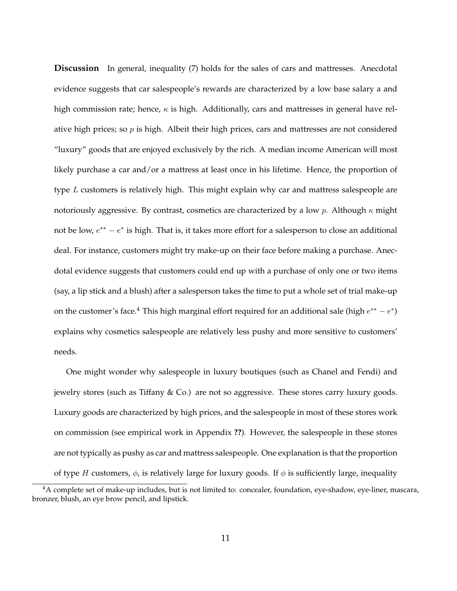**Discussion** In general, inequality (7) holds for the sales of cars and mattresses. Anecdotal evidence suggests that car salespeople's rewards are characterized by a low base salary a and high commission rate; hence,  $\kappa$  is high. Additionally, cars and mattresses in general have relative high prices; so  $p$  is high. Albeit their high prices, cars and mattresses are not considered "luxury" goods that are enjoyed exclusively by the rich. A median income American will most likely purchase a car and/or a mattress at least once in his lifetime. Hence, the proportion of type L customers is relatively high. This might explain why car and mattress salespeople are notoriously aggressive. By contrast, cosmetics are characterized by a low p. Although  $\kappa$  might not be low,  $e^{**} - e^*$  is high. That is, it takes more effort for a salesperson to close an additional deal. For instance, customers might try make-up on their face before making a purchase. Anecdotal evidence suggests that customers could end up with a purchase of only one or two items (say, a lip stick and a blush) after a salesperson takes the time to put a whole set of trial make-up on the customer's face.<sup>4</sup> This high marginal effort required for an additional sale (high  $e^{**} - e^*$ ) explains why cosmetics salespeople are relatively less pushy and more sensitive to customers' needs.

One might wonder why salespeople in luxury boutiques (such as Chanel and Fendi) and jewelry stores (such as Tiffany & Co.) are not so aggressive. These stores carry luxury goods. Luxury goods are characterized by high prices, and the salespeople in most of these stores work on commission (see empirical work in Appendix **??**). However, the salespeople in these stores are not typically as pushy as car and mattress salespeople. One explanation is that the proportion of type H customers,  $\phi$ , is relatively large for luxury goods. If  $\phi$  is sufficiently large, inequality

<sup>4</sup>A complete set of make-up includes, but is not limited to: concealer, foundation, eye-shadow, eye-liner, mascara, bronzer, blush, an eye brow pencil, and lipstick.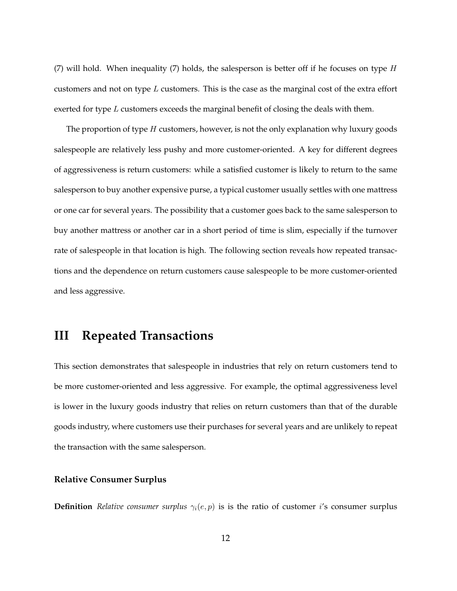(7) will hold. When inequality (7) holds, the salesperson is better off if he focuses on type  $H$ customers and not on type  $L$  customers. This is the case as the marginal cost of the extra effort exerted for type  $L$  customers exceeds the marginal benefit of closing the deals with them.

The proportion of type H customers, however, is not the only explanation why luxury goods salespeople are relatively less pushy and more customer-oriented. A key for different degrees of aggressiveness is return customers: while a satisfied customer is likely to return to the same salesperson to buy another expensive purse, a typical customer usually settles with one mattress or one car for several years. The possibility that a customer goes back to the same salesperson to buy another mattress or another car in a short period of time is slim, especially if the turnover rate of salespeople in that location is high. The following section reveals how repeated transactions and the dependence on return customers cause salespeople to be more customer-oriented and less aggressive.

## **III Repeated Transactions**

This section demonstrates that salespeople in industries that rely on return customers tend to be more customer-oriented and less aggressive. For example, the optimal aggressiveness level is lower in the luxury goods industry that relies on return customers than that of the durable goods industry, where customers use their purchases for several years and are unlikely to repeat the transaction with the same salesperson.

#### **Relative Consumer Surplus**

**Definition** *Relative consumer surplus*  $\gamma_i(e, p)$  is is the ratio of customer *i*'s consumer surplus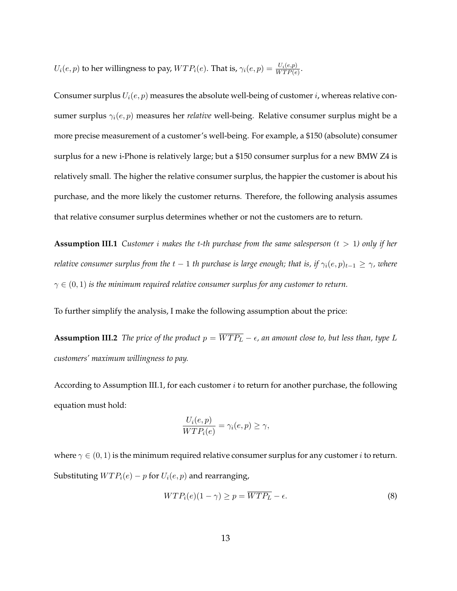$U_i(e,p)$  to her willingness to pay,  $WTP_i(e)$ . That is,  $\gamma_i(e,p) = \frac{U_i(e,p)}{WTP(e)}$ .

Consumer surplus  $U_i(e, p)$  measures the absolute well-being of customer *i*, whereas relative consumer surplus  $\gamma_i(e, p)$  measures her *relative* well-being. Relative consumer surplus might be a more precise measurement of a customer's well-being. For example, a \$150 (absolute) consumer surplus for a new i-Phone is relatively large; but a \$150 consumer surplus for a new BMW Z4 is relatively small. The higher the relative consumer surplus, the happier the customer is about his purchase, and the more likely the customer returns. Therefore, the following analysis assumes that relative consumer surplus determines whether or not the customers are to return.

**Assumption III.1** *Customer* i *makes the* t*-th purchase from the same salesperson (*t > 1*) only if her relative consumer surplus from the*  $t - 1$  *th purchase is large enough; that is, if*  $\gamma_i(e, p)_{t-1} \geq \gamma$ *, where*  $\gamma \in (0,1)$  *is the minimum required relative consumer surplus for any customer to return.* 

To further simplify the analysis, I make the following assumption about the price:

**Assumption III.2** *The price of the product*  $p = \overline{WTP_L} - \epsilon$ , an amount close to, but less than, type L *customers' maximum willingness to pay.*

According to Assumption III.1, for each customer  $i$  to return for another purchase, the following equation must hold:

$$
\frac{U_i(e,p)}{WTP_i(e)} = \gamma_i(e,p) \ge \gamma,
$$

where  $\gamma \in (0,1)$  is the minimum required relative consumer surplus for any customer *i* to return. Substituting  $WTP_i(e) - p$  for  $U_i(e, p)$  and rearranging,

$$
WTP_i(e)(1-\gamma) \ge p = \overline{WTP_L} - \epsilon. \tag{8}
$$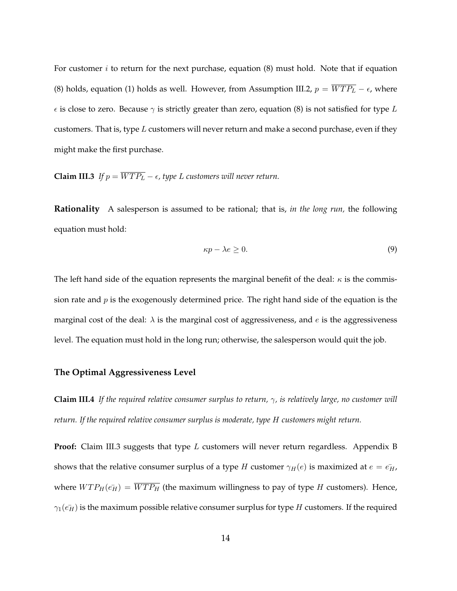For customer  $i$  to return for the next purchase, equation  $(8)$  must hold. Note that if equation (8) holds, equation (1) holds as well. However, from Assumption III.2,  $p = \overline{WTP_L} - \epsilon$ , where  $\epsilon$  is close to zero. Because  $\gamma$  is strictly greater than zero, equation (8) is not satisfied for type L customers. That is, type  $L$  customers will never return and make a second purchase, even if they might make the first purchase.

**Claim III.3** *If*  $p = \overline{WTP_L} - \epsilon$ , type L customers will never return.

**Rationality** A salesperson is assumed to be rational; that is, *in the long run,* the following equation must hold:

$$
\kappa p - \lambda e \ge 0. \tag{9}
$$

The left hand side of the equation represents the marginal benefit of the deal:  $\kappa$  is the commission rate and  $p$  is the exogenously determined price. The right hand side of the equation is the marginal cost of the deal:  $\lambda$  is the marginal cost of aggressiveness, and e is the aggressiveness level. The equation must hold in the long run; otherwise, the salesperson would quit the job.

#### **The Optimal Aggressiveness Level**

**Claim III.4** *If the required relative consumer surplus to return,*  $\gamma$ *, is relatively large, no customer will return. If the required relative consumer surplus is moderate, type* H *customers might return.*

**Proof:** Claim III.3 suggests that type L customers will never return regardless. Appendix B shows that the relative consumer surplus of a type H customer  $\gamma_H(e)$  is maximized at  $e = \epsilon_H$ , where  $WTP_H(\vec{e_H}) = \overline{WTP_H}$  (the maximum willingness to pay of type H customers). Hence,  $\gamma_1(\bar{e}_H)$  is the maximum possible relative consumer surplus for type H customers. If the required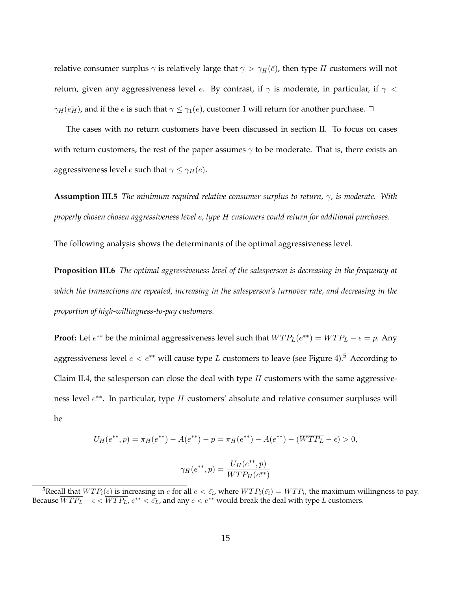relative consumer surplus  $\gamma$  is relatively large that  $\gamma > \gamma_H(\bar{e})$ , then type H customers will not return, given any aggressiveness level e. By contrast, if  $\gamma$  is moderate, in particular, if  $\gamma$  <  $\gamma_H(\bar{e_H})$ , and if the e is such that  $\gamma \leq \gamma_1(e)$ , customer 1 will return for another purchase.  $\Box$ 

The cases with no return customers have been discussed in section II. To focus on cases with return customers, the rest of the paper assumes  $\gamma$  to be moderate. That is, there exists an aggressiveness level *e* such that  $\gamma \leq \gamma_H(e)$ .

**Assumption III.5** *The minimum required relative consumer surplus to return,* γ*, is moderate. With properly chosen chosen aggressiveness level* e*, type* H *customers could return for additional purchases.*

The following analysis shows the determinants of the optimal aggressiveness level.

**Proposition III.6** *The optimal aggressiveness level of the salesperson is decreasing in the frequency at which the transactions are repeated, increasing in the salesperson's turnover rate, and decreasing in the proportion of high-willingness-to-pay customers.*

**Proof:** Let  $e^{**}$  be the minimal aggressiveness level such that  $WTP_L(e^{**}) = \overline{WTP_L} - \epsilon = p$ . Any aggressiveness level  $e < e^{**}$  will cause type L customers to leave (see Figure 4).<sup>5</sup> According to Claim II.4, the salesperson can close the deal with type  $H$  customers with the same aggressiveness level  $e^{**}$ . In particular, type H customers' absolute and relative consumer surpluses will be

$$
U_H(e^{**}, p) = \pi_H(e^{**}) - A(e^{**}) - p = \pi_H(e^{**}) - A(e^{**}) - (\overline{WTP_L} - \epsilon) > 0,
$$

$$
\gamma_H(e^{**}, p) = \frac{U_H(e^{**}, p)}{WTP_H(e^{**})}
$$

<sup>&</sup>lt;sup>5</sup>Recall that  $WTP_i(e)$  is increasing in  $e$  for all  $e < \bar{e_i}$ , where  $WTP_i(\bar{e_i}) = \overline{WTP_i}$ , the maximum willingness to pay. Because  $\overline{WTP_L} - \epsilon < \overline{WTP_L}$ ,  $e^{**} < \bar{e_L}$ , and any  $e < e^{**}$  would break the deal with type  $L$  customers.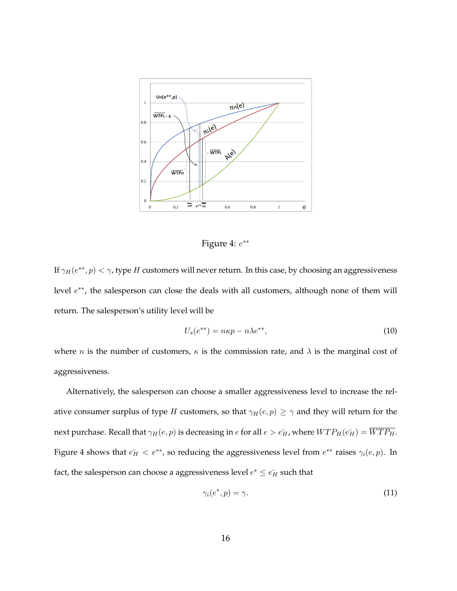

Figure 4:  $e^{**}$ 

If  $\gamma_H(e^{**},p)<\gamma$ , type  $H$  customers will never return. In this case, by choosing an aggressiveness level  $e^{**}$ , the salesperson can close the deals with all customers, although none of them will return. The salesperson's utility level will be

$$
U_s(e^{**}) = n\kappa p - n\lambda e^{**},\tag{10}
$$

where *n* is the number of customers,  $\kappa$  is the commission rate, and  $\lambda$  is the marginal cost of aggressiveness.

Alternatively, the salesperson can choose a smaller aggressiveness level to increase the relative consumer surplus of type H customers, so that  $\gamma_H(e, p) \geq \gamma$  and they will return for the next purchase. Recall that  $\gamma_H(e, p)$  is decreasing in  $e$  for all  $e > e_H$ , where  $WTP_H(e_H^-) = \overline{WTP_H}$ . Figure 4 shows that  $e_H^+ < e^{**}$ , so reducing the aggressiveness level from  $e^{**}$  raises  $\gamma_i(e, p)$ . In fact, the salesperson can choose a aggressiveness level  $e^* \leq \bar{e_H}$  such that

$$
\gamma_i(e^*, p) = \gamma. \tag{11}
$$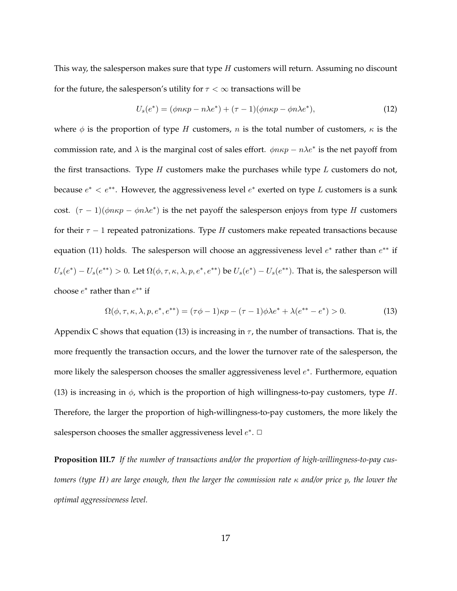This way, the salesperson makes sure that type  $H$  customers will return. Assuming no discount for the future, the salesperson's utility for  $\tau < \infty$  transactions will be

$$
U_s(e^*) = (\phi n \kappa p - n \lambda e^*) + (\tau - 1)(\phi n \kappa p - \phi n \lambda e^*), \tag{12}
$$

where  $\phi$  is the proportion of type H customers, n is the total number of customers,  $\kappa$  is the commission rate, and  $\lambda$  is the marginal cost of sales effort.  $\phi n \kappa p - n \lambda e^*$  is the net payoff from the first transactions. Type  $H$  customers make the purchases while type  $L$  customers do not, because  $e^* < e^{**}$ . However, the aggressiveness level  $e^*$  exerted on type L customers is a sunk cost.  $(\tau - 1)(\phi n \kappa p - \phi n \lambda e^*)$  is the net payoff the salesperson enjoys from type H customers for their  $\tau - 1$  repeated patronizations. Type H customers make repeated transactions because equation (11) holds. The salesperson will choose an aggressiveness level  $e^*$  rather than  $e^{**}$  if  $U_s(e^*) - U_s(e^{**}) > 0$ . Let  $\Omega(\phi, \tau, \kappa, \lambda, p, e^*, e^{**})$  be  $U_s(e^*) - U_s(e^{**})$ . That is, the salesperson will choose  $e^*$  rather than  $e^{**}$  if

$$
\Omega(\phi, \tau, \kappa, \lambda, p, e^*, e^{**}) = (\tau \phi - 1)\kappa p - (\tau - 1)\phi \lambda e^* + \lambda(e^{**} - e^*) > 0.
$$
 (13)

Appendix C shows that equation (13) is increasing in  $\tau$ , the number of transactions. That is, the more frequently the transaction occurs, and the lower the turnover rate of the salesperson, the more likely the salesperson chooses the smaller aggressiveness level  $e^*$ . Furthermore, equation (13) is increasing in  $\phi$ , which is the proportion of high willingness-to-pay customers, type H. Therefore, the larger the proportion of high-willingness-to-pay customers, the more likely the salesperson chooses the smaller aggressiveness level  $e^*$ .  $\Box$ 

**Proposition III.7** *If the number of transactions and/or the proportion of high-willingness-to-pay customers (type* H*) are large enough, then the larger the commission rate* κ *and/or price* p*, the lower the optimal aggressiveness level.*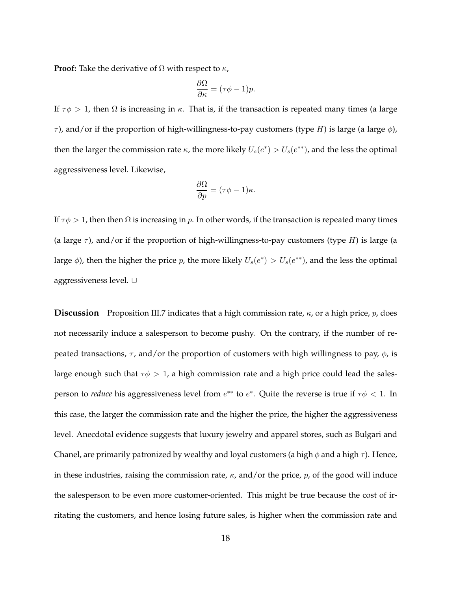**Proof:** Take the derivative of  $\Omega$  with respect to  $\kappa$ ,

$$
\frac{\partial \Omega}{\partial \kappa} = (\tau \phi - 1)p.
$$

If  $τφ$  > 1, then Ω is increasing in  $κ$ . That is, if the transaction is repeated many times (a large  $τ$ ), and/or if the proportion of high-willingness-to-pay customers (type H) is large (a large  $φ$ ), then the larger the commission rate  $\kappa$ , the more likely  $U_s(e^*) > U_s(e^{**})$ , and the less the optimal aggressiveness level. Likewise,

$$
\frac{\partial \Omega}{\partial p} = (\tau \phi - 1)\kappa.
$$

If  $\tau \phi > 1$ , then then  $\Omega$  is increasing in p. In other words, if the transaction is repeated many times (a large  $\tau$ ), and/or if the proportion of high-willingness-to-pay customers (type H) is large (a large  $\phi$ ), then the higher the price p, the more likely  $U_s(e^*) > U_s(e^{**})$ , and the less the optimal aggressiveness level.  $\Box$ 

**Discussion** Proposition III.7 indicates that a high commission rate,  $\kappa$ , or a high price,  $p$ , does not necessarily induce a salesperson to become pushy. On the contrary, if the number of repeated transactions,  $\tau$ , and/or the proportion of customers with high willingness to pay,  $\phi$ , is large enough such that  $\tau \phi > 1$ , a high commission rate and a high price could lead the salesperson to *reduce* his aggressiveness level from  $e^{**}$  to  $e^*$ . Quite the reverse is true if  $\tau \phi < 1$ . In this case, the larger the commission rate and the higher the price, the higher the aggressiveness level. Anecdotal evidence suggests that luxury jewelry and apparel stores, such as Bulgari and Chanel, are primarily patronized by wealthy and loyal customers (a high  $\phi$  and a high  $\tau$ ). Hence, in these industries, raising the commission rate,  $\kappa$ , and/or the price,  $p$ , of the good will induce the salesperson to be even more customer-oriented. This might be true because the cost of irritating the customers, and hence losing future sales, is higher when the commission rate and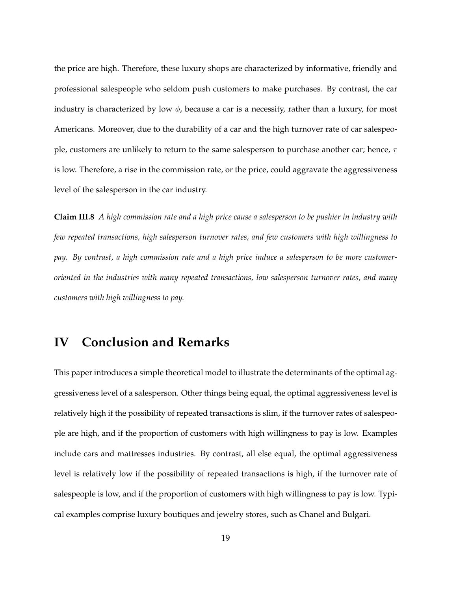the price are high. Therefore, these luxury shops are characterized by informative, friendly and professional salespeople who seldom push customers to make purchases. By contrast, the car industry is characterized by low  $\phi$ , because a car is a necessity, rather than a luxury, for most Americans. Moreover, due to the durability of a car and the high turnover rate of car salespeople, customers are unlikely to return to the same salesperson to purchase another car; hence,  $\tau$ is low. Therefore, a rise in the commission rate, or the price, could aggravate the aggressiveness level of the salesperson in the car industry.

**Claim III.8** *A high commission rate and a high price cause a salesperson to be pushier in industry with few repeated transactions, high salesperson turnover rates, and few customers with high willingness to pay. By contrast, a high commission rate and a high price induce a salesperson to be more customeroriented in the industries with many repeated transactions, low salesperson turnover rates, and many customers with high willingness to pay.*

## **IV Conclusion and Remarks**

This paper introduces a simple theoretical model to illustrate the determinants of the optimal aggressiveness level of a salesperson. Other things being equal, the optimal aggressiveness level is relatively high if the possibility of repeated transactions is slim, if the turnover rates of salespeople are high, and if the proportion of customers with high willingness to pay is low. Examples include cars and mattresses industries. By contrast, all else equal, the optimal aggressiveness level is relatively low if the possibility of repeated transactions is high, if the turnover rate of salespeople is low, and if the proportion of customers with high willingness to pay is low. Typical examples comprise luxury boutiques and jewelry stores, such as Chanel and Bulgari.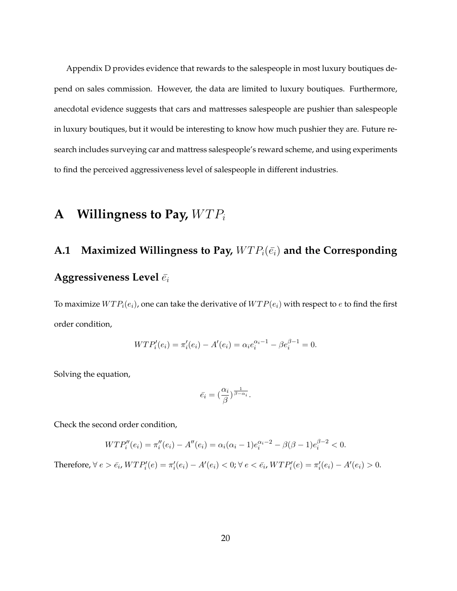Appendix D provides evidence that rewards to the salespeople in most luxury boutiques depend on sales commission. However, the data are limited to luxury boutiques. Furthermore, anecdotal evidence suggests that cars and mattresses salespeople are pushier than salespeople in luxury boutiques, but it would be interesting to know how much pushier they are. Future research includes surveying car and mattress salespeople's reward scheme, and using experiments to find the perceived aggressiveness level of salespeople in different industries.

## **A** Willingness to Pay,  $WTP_i$

# A.1 Maximized Willingness to Pay,  $WTP_i(\bar{e}_i)$  and the Corresponding **Aggressiveness Level**  $\bar{e}_i$

To maximize  $WTP_i(e_i)$ , one can take the derivative of  $WTP(e_i)$  with respect to e to find the first order condition,

$$
WTP'_{i}(e_i) = \pi'_{i}(e_i) - A'(e_i) = \alpha_i e_i^{\alpha_i - 1} - \beta e_i^{\beta - 1} = 0.
$$

Solving the equation,

$$
\bar{e_i} = \left(\frac{\alpha_i}{\beta}\right)^{\frac{1}{\beta - \alpha_i}}.
$$

Check the second order condition,

$$
WTP_i''(e_i) = \pi_i''(e_i) - A''(e_i) = \alpha_i(\alpha_i - 1)e_i^{\alpha_i - 2} - \beta(\beta - 1)e_i^{\beta - 2} < 0.
$$

Therefore,  $\forall e > \bar{e_i}$ ,  $WTP'_i(e) = \pi'_i(e_i) - A'(e_i) < 0$ ;  $\forall e < \bar{e_i}$ ,  $WTP'_i(e) = \pi'_i(e_i) - A'(e_i) > 0$ .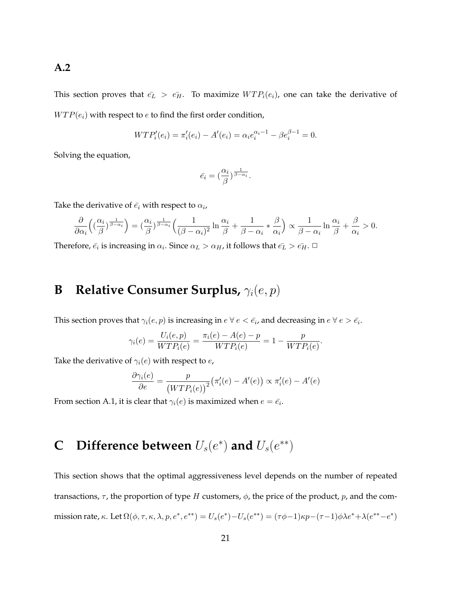## **A.2**

This section proves that  $\bar{e}_L > \bar{e}_H$ . To maximize  $WTP_i(e_i)$ , one can take the derivative of  $WTP(e_i)$  with respect to e to find the first order condition,

$$
WTP_i'(e_i) = \pi_i'(e_i) - A'(e_i) = \alpha_i e_i^{\alpha_i - 1} - \beta e_i^{\beta - 1} = 0.
$$

Solving the equation,

$$
\bar{e_i} = \left(\frac{\alpha_i}{\beta}\right)^{\frac{1}{\beta-\alpha_i}}.
$$

Take the derivative of  $\bar{e_i}$  with respect to  $\alpha_i$ ,

$$
\frac{\partial}{\partial \alpha_i} \left( (\frac{\alpha_i}{\beta})^{\frac{1}{\beta-\alpha_i}}\right) = (\frac{\alpha_i}{\beta})^{\frac{1}{\beta-\alpha_i}} \left(\frac{1}{(\beta-\alpha_i)^2} \ln \frac{\alpha_i}{\beta} + \frac{1}{\beta-\alpha_i} * \frac{\beta}{\alpha_i} \right) \propto \frac{1}{\beta-\alpha_i} \ln \frac{\alpha_i}{\beta} + \frac{\beta}{\alpha_i} > 0.
$$

Therefore,  $\bar{e_i}$  is increasing in  $\alpha_i$ . Since  $\alpha_L > \alpha_H$ , it follows that  $\bar{e_L} > \bar{e_H}$ .  $\Box$ 

# **B** Relative Consumer Surplus,  $γ<sub>i</sub>(e, p)$

This section proves that  $\gamma_i(e, p)$  is increasing in  $e \forall e < \bar{e_i}$ , and decreasing in  $e \forall e > \bar{e_i}$ .

$$
\gamma_i(e) = \frac{U_i(e, p)}{WTP_i(e)} = \frac{\pi_i(e) - A(e) - p}{WTP_i(e)} = 1 - \frac{p}{WTP_i(e)}.
$$

Take the derivative of  $\gamma_i(e)$  with respect to  $e$ ,

$$
\frac{\partial \gamma_i(e)}{\partial e} = \frac{p}{\left( WTP_i(e) \right)^2} \left( \pi'_i(e) - A'(e) \right) \propto \pi'_i(e) - A'(e)
$$

From section A.1, it is clear that  $\gamma_i(e)$  is maximized when  $e = \bar{e_i}$ .

# **C** Difference between  $U_s(e^*)$  and  $U_s(e^{**})$

This section shows that the optimal aggressiveness level depends on the number of repeated transactions,  $\tau$ , the proportion of type H customers,  $\phi$ , the price of the product, p, and the commission rate, κ. Let  $\Omega(\phi, \tau, \kappa, \lambda, p, e^*, e^{**}) = U_s(e^*) - U_s(e^{**}) = (\tau \phi - 1)\kappa p - (\tau - 1)\phi \lambda e^* + \lambda(e^{**} - e^*)$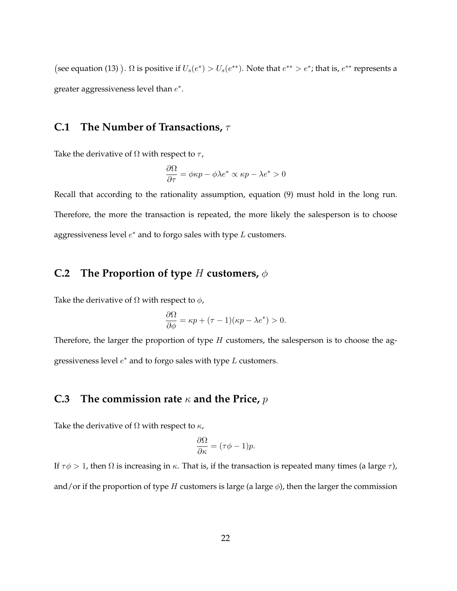(see equation (13) ).  $\Omega$  is positive if  $U_s(e^*) > U_s(e^{**})$ . Note that  $e^{**} > e^*$ ; that is,  $e^{**}$  represents a greater aggressiveness level than  $e^*$ .

## **C.1 The Number of Transactions,** τ

Take the derivative of  $\Omega$  with respect to  $\tau$ ,

$$
\frac{\partial \Omega}{\partial \tau} = \phi \kappa p - \phi \lambda e^* \propto \kappa p - \lambda e^* > 0
$$

Recall that according to the rationality assumption, equation (9) must hold in the long run. Therefore, the more the transaction is repeated, the more likely the salesperson is to choose aggressiveness level  $e^*$  and to forgo sales with type  $L$  customers.

## **C.2 The Proportion of type** H **customers,** φ

Take the derivative of  $\Omega$  with respect to  $\phi$ ,

$$
\frac{\partial \Omega}{\partial \phi} = \kappa p + (\tau - 1)(\kappa p - \lambda e^*) > 0.
$$

Therefore, the larger the proportion of type  $H$  customers, the salesperson is to choose the aggressiveness level  $e^*$  and to forgo sales with type  $L$  customers.

### **C.3 The commission rate** κ **and the Price,** p

Take the derivative of  $\Omega$  with respect to  $\kappa$ ,

$$
\frac{\partial \Omega}{\partial \kappa} = (\tau \phi - 1)p.
$$

If  $\tau \phi > 1$ , then Ω is increasing in κ. That is, if the transaction is repeated many times (a large  $\tau$ ), and/or if the proportion of type H customers is large (a large  $\phi$ ), then the larger the commission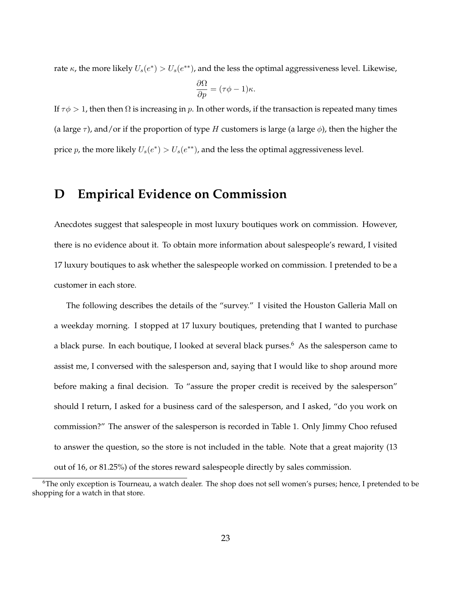rate  $\kappa$ , the more likely  $U_s(e^*) > U_s(e^{**})$ , and the less the optimal aggressiveness level. Likewise,

$$
\frac{\partial \Omega}{\partial p} = (\tau \phi - 1)\kappa.
$$

If  $\tau \phi > 1$ , then then  $\Omega$  is increasing in p. In other words, if the transaction is repeated many times (a large  $\tau$ ), and/or if the proportion of type H customers is large (a large  $\phi$ ), then the higher the price p, the more likely  $U_s(e^*) > U_s(e^{**})$ , and the less the optimal aggressiveness level.

## **D Empirical Evidence on Commission**

Anecdotes suggest that salespeople in most luxury boutiques work on commission. However, there is no evidence about it. To obtain more information about salespeople's reward, I visited 17 luxury boutiques to ask whether the salespeople worked on commission. I pretended to be a customer in each store.

The following describes the details of the "survey." I visited the Houston Galleria Mall on a weekday morning. I stopped at 17 luxury boutiques, pretending that I wanted to purchase a black purse. In each boutique, I looked at several black purses.<sup>6</sup> As the salesperson came to assist me, I conversed with the salesperson and, saying that I would like to shop around more before making a final decision. To "assure the proper credit is received by the salesperson" should I return, I asked for a business card of the salesperson, and I asked, "do you work on commission?" The answer of the salesperson is recorded in Table 1. Only Jimmy Choo refused to answer the question, so the store is not included in the table. Note that a great majority (13 out of 16, or 81.25%) of the stores reward salespeople directly by sales commission.

<sup>&</sup>lt;sup>6</sup>The only exception is Tourneau, a watch dealer. The shop does not sell women's purses; hence, I pretended to be shopping for a watch in that store.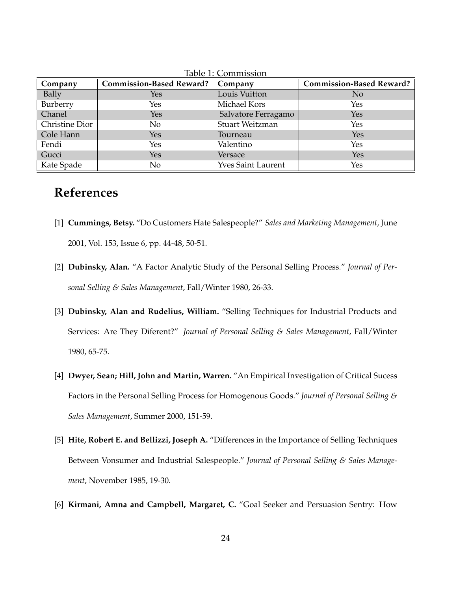| Company        | <b>Commission-Based Reward?</b> | Company                   | <b>Commission-Based Reward?</b> |
|----------------|---------------------------------|---------------------------|---------------------------------|
| Bally          | Yes                             | Louis Vuitton             | N <sub>o</sub>                  |
| Burberry       | Yes                             | Michael Kors              | Yes                             |
| Chanel         | <b>Yes</b>                      | Salvatore Ferragamo       | Yes                             |
| Christine Dior | No.                             | Stuart Weitzman           | Yes                             |
| Cole Hann      | <b>Yes</b>                      | Tourneau                  | Yes                             |
| Fendi          | Yes                             | Valentino                 | Yes                             |
| Gucci          | Yes                             | Versace                   | Yes                             |
| Kate Spade     | No                              | <b>Yves Saint Laurent</b> | Yes                             |

Table 1: Commission

# **References**

- [1] **Cummings, Betsy.** "Do Customers Hate Salespeople?" *Sales and Marketing Management*, June 2001, Vol. 153, Issue 6, pp. 44-48, 50-51.
- [2] **Dubinsky, Alan.** "A Factor Analytic Study of the Personal Selling Process." *Journal of Personal Selling & Sales Management*, Fall/Winter 1980, 26-33.
- [3] **Dubinsky, Alan and Rudelius, William.** "Selling Techniques for Industrial Products and Services: Are They Diferent?" *Journal of Personal Selling & Sales Management*, Fall/Winter 1980, 65-75.
- [4] **Dwyer, Sean; Hill, John and Martin, Warren.** "An Empirical Investigation of Critical Sucess Factors in the Personal Selling Process for Homogenous Goods." *Journal of Personal Selling & Sales Management*, Summer 2000, 151-59.
- [5] **Hite, Robert E. and Bellizzi, Joseph A.** "Differences in the Importance of Selling Techniques Between Vonsumer and Industrial Salespeople." *Journal of Personal Selling & Sales Management*, November 1985, 19-30.
- [6] **Kirmani, Amna and Campbell, Margaret, C.** "Goal Seeker and Persuasion Sentry: How